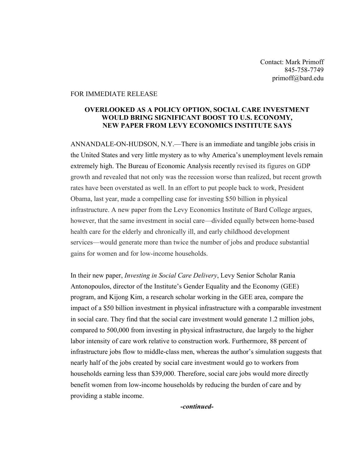Contact: Mark Primoff 845-758-7749 primoff@bard.edu

## FOR IMMEDIATE RELEASE

## **OVERLOOKED AS A POLICY OPTION, SOCIAL CARE INVESTMENT WOULD BRING SIGNIFICANT BOOST TO U.S. ECONOMY, NEW PAPER FROM LEVY ECONOMICS INSTITUTE SAYS**

ANNANDALE-ON-HUDSON, N.Y.—There is an immediate and tangible jobs crisis in the United States and very little mystery as to why America's unemployment levels remain extremely high. The Bureau of Economic Analysis recently revised its figures on GDP growth and revealed that not only was the recession worse than realized, but recent growth rates have been overstated as well. In an effort to put people back to work, President Obama, last year, made a compelling case for investing \$50 billion in physical infrastructure. A new paper from the Levy Economics Institute of Bard College argues, however, that the same investment in social care—divided equally between home-based health care for the elderly and chronically ill, and early childhood development services—would generate more than twice the number of jobs and produce substantial gains for women and for low-income households.

In their new paper, *Investing in Social Care Delivery*, Levy Senior Scholar Rania Antonopoulos, director of the Institute's Gender Equality and the Economy (GEE) program, and Kijong Kim, a research scholar working in the GEE area, compare the impact of a \$50 billion investment in physical infrastructure with a comparable investment in social care. They find that the social care investment would generate 1.2 million jobs, compared to 500,000 from investing in physical infrastructure, due largely to the higher labor intensity of care work relative to construction work. Furthermore, 88 percent of infrastructure jobs flow to middle-class men, whereas the author's simulation suggests that nearly half of the jobs created by social care investment would go to workers from households earning less than \$39,000. Therefore, social care jobs would more directly benefit women from low-income households by reducing the burden of care and by providing a stable income.

*-continued-*